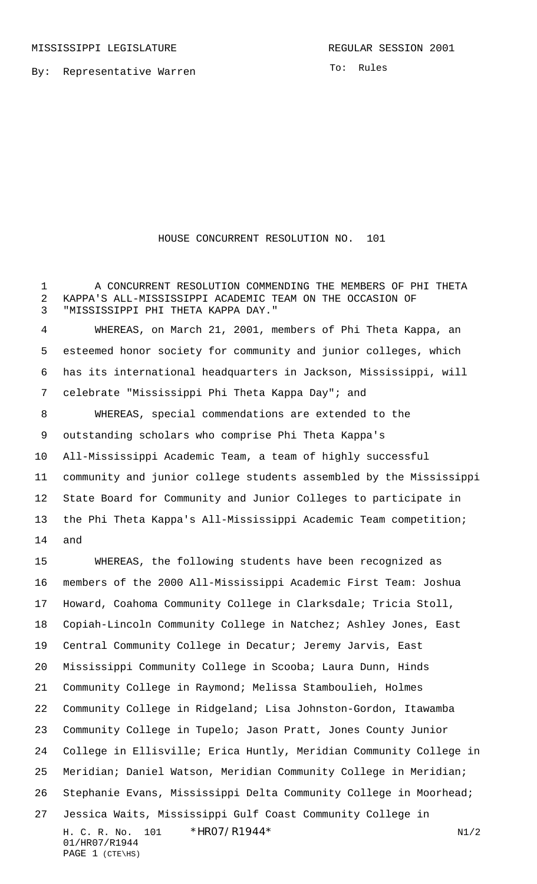By: Representative Warren

To: Rules

## HOUSE CONCURRENT RESOLUTION NO. 101

1 A CONCURRENT RESOLUTION COMMENDING THE MEMBERS OF PHI THETA KAPPA'S ALL-MISSISSIPPI ACADEMIC TEAM ON THE OCCASION OF "MISSISSIPPI PHI THETA KAPPA DAY."

 WHEREAS, on March 21, 2001, members of Phi Theta Kappa, an esteemed honor society for community and junior colleges, which has its international headquarters in Jackson, Mississippi, will celebrate "Mississippi Phi Theta Kappa Day"; and

 WHEREAS, special commendations are extended to the outstanding scholars who comprise Phi Theta Kappa's All-Mississippi Academic Team, a team of highly successful community and junior college students assembled by the Mississippi State Board for Community and Junior Colleges to participate in the Phi Theta Kappa's All-Mississippi Academic Team competition; and

H. C. R. No. 101 \* HRO7/R1944\* N1/2 01/HR07/R1944 PAGE 1 (CTE\HS) WHEREAS, the following students have been recognized as members of the 2000 All-Mississippi Academic First Team: Joshua Howard, Coahoma Community College in Clarksdale; Tricia Stoll, Copiah-Lincoln Community College in Natchez; Ashley Jones, East Central Community College in Decatur; Jeremy Jarvis, East Mississippi Community College in Scooba; Laura Dunn, Hinds Community College in Raymond; Melissa Stamboulieh, Holmes Community College in Ridgeland; Lisa Johnston-Gordon, Itawamba Community College in Tupelo; Jason Pratt, Jones County Junior College in Ellisville; Erica Huntly, Meridian Community College in Meridian; Daniel Watson, Meridian Community College in Meridian; Stephanie Evans, Mississippi Delta Community College in Moorhead; Jessica Waits, Mississippi Gulf Coast Community College in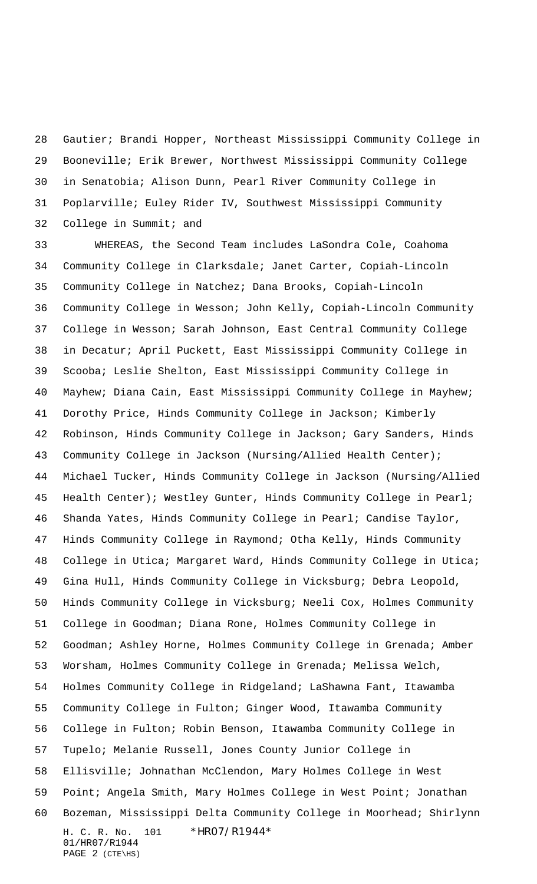Gautier; Brandi Hopper, Northeast Mississippi Community College in Booneville; Erik Brewer, Northwest Mississippi Community College in Senatobia; Alison Dunn, Pearl River Community College in Poplarville; Euley Rider IV, Southwest Mississippi Community College in Summit; and

H. C. R. No. 101 \*HR07/R1944\* 01/HR07/R1944 PAGE 2 (CTE\HS) WHEREAS, the Second Team includes LaSondra Cole, Coahoma Community College in Clarksdale; Janet Carter, Copiah-Lincoln Community College in Natchez; Dana Brooks, Copiah-Lincoln Community College in Wesson; John Kelly, Copiah-Lincoln Community College in Wesson; Sarah Johnson, East Central Community College in Decatur; April Puckett, East Mississippi Community College in Scooba; Leslie Shelton, East Mississippi Community College in Mayhew; Diana Cain, East Mississippi Community College in Mayhew; Dorothy Price, Hinds Community College in Jackson; Kimberly Robinson, Hinds Community College in Jackson; Gary Sanders, Hinds Community College in Jackson (Nursing/Allied Health Center); Michael Tucker, Hinds Community College in Jackson (Nursing/Allied Health Center); Westley Gunter, Hinds Community College in Pearl; Shanda Yates, Hinds Community College in Pearl; Candise Taylor, Hinds Community College in Raymond; Otha Kelly, Hinds Community College in Utica; Margaret Ward, Hinds Community College in Utica; Gina Hull, Hinds Community College in Vicksburg; Debra Leopold, Hinds Community College in Vicksburg; Neeli Cox, Holmes Community College in Goodman; Diana Rone, Holmes Community College in Goodman; Ashley Horne, Holmes Community College in Grenada; Amber Worsham, Holmes Community College in Grenada; Melissa Welch, Holmes Community College in Ridgeland; LaShawna Fant, Itawamba Community College in Fulton; Ginger Wood, Itawamba Community College in Fulton; Robin Benson, Itawamba Community College in Tupelo; Melanie Russell, Jones County Junior College in Ellisville; Johnathan McClendon, Mary Holmes College in West Point; Angela Smith, Mary Holmes College in West Point; Jonathan Bozeman, Mississippi Delta Community College in Moorhead; Shirlynn